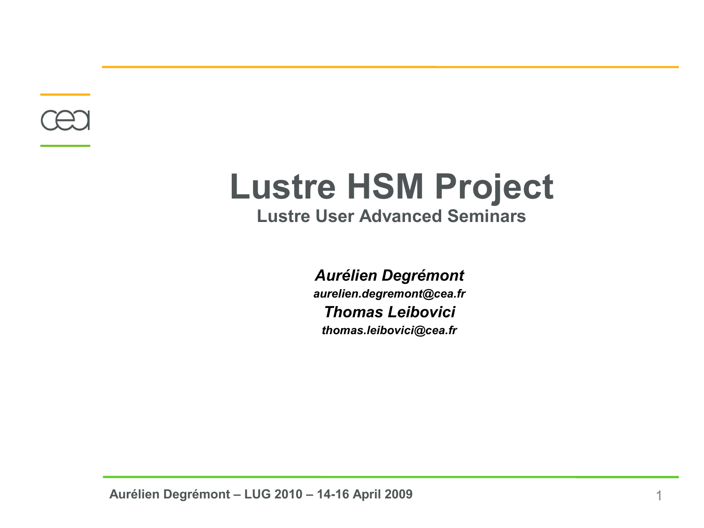

# **Lustre HSM Project Lustre User Advanced Seminars**

*Aurélien Degrémont aurelien.degremont@cea.fr Thomas Leibovici thomas.leibovici@cea.fr*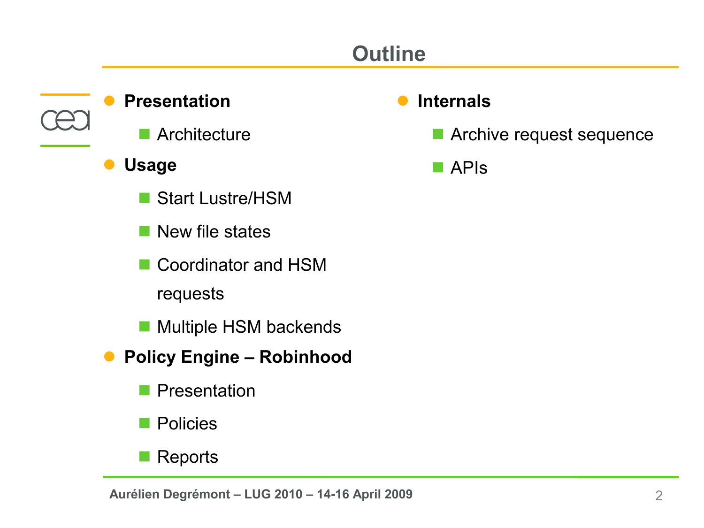# **Outline**

#### **Presentation**

- **Architecture**
- **Usage**
	- Start Lustre/HSM
	- $\blacksquare$  New file states
	- Coordinator and HSM requests
	- **Multiple HSM backends**
- **Policy Engine Robinhood**
	- **Presentation**
	- **Policies**
	- Reports

### **Internals**

**Archive request sequence** 

**D** APIS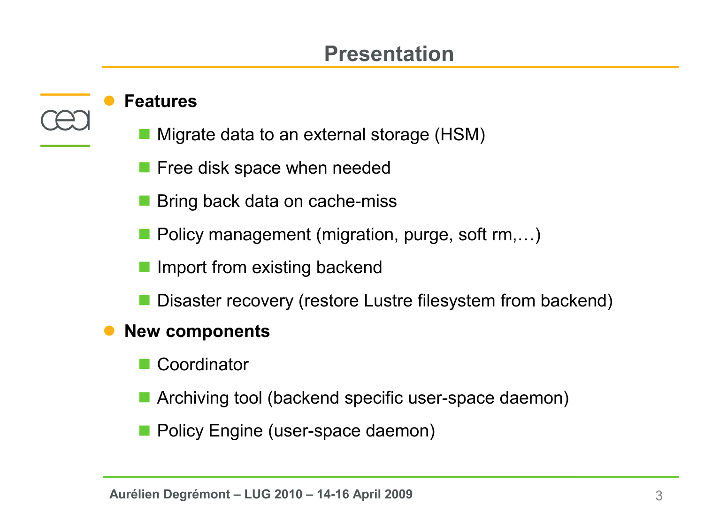### **Presentation**

#### **Features**

- Migrate data to an external storage (HSM)
- Free disk space when needed
- Bring back data on cache-miss
- Policy management (migration, purge, soft rm,...)
- Import from existing backend
- Disaster recovery (restore Lustre filesystem from backend)

#### **New components**

- **Coordinator**
- **E** Archiving tool (backend specific user-space daemon)
- Policy Engine (user-space daemon)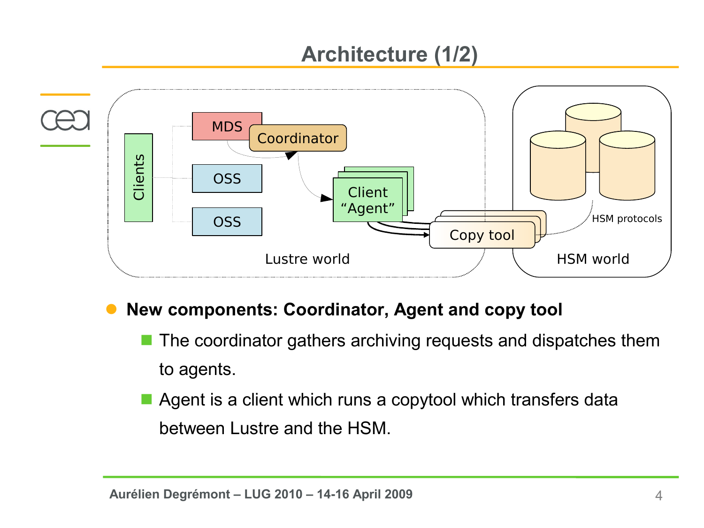# **Architecture (1/2)**



- **New components: Coordinator, Agent and copy tool**
	- The coordinator gathers archiving requests and dispatches them to agents.
	- Agent is a client which runs a copytool which transfers data between Lustre and the HSM.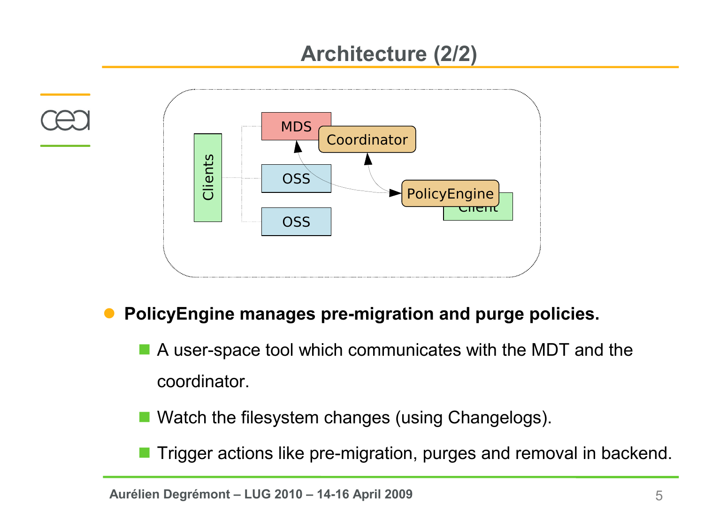# **Architecture (2/2)**



#### **PolicyEngine manages pre-migration and purge policies.**

 A user-space tool which communicates with the MDT and the coordinator.

- Watch the filesystem changes (using Changelogs).
-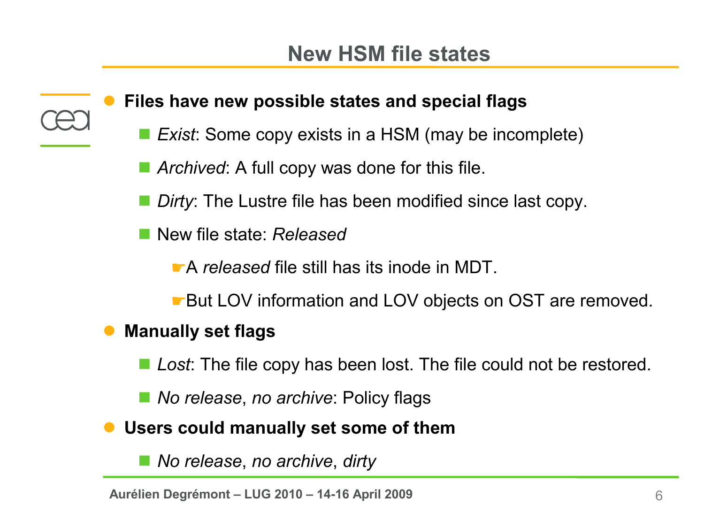**Files have new possible states and special flags**

- *Exist*: Some copy exists in a HSM (may be incomplete)
- *Archived*: A full copy was done for this file.
- **Dirty: The Lustre file has been modified since last copy.**
- New file state: *Released*

☛A *released* file still has its inode in MDT.

☛But LOV information and LOV objects on OST are removed.

### **Manually set flags**

■ *Lost*: The file copy has been lost. The file could not be restored.

■ *No release, no archive:* Policy flags

**Users could manually set some of them**

*No release*, *no archive*, *dirty*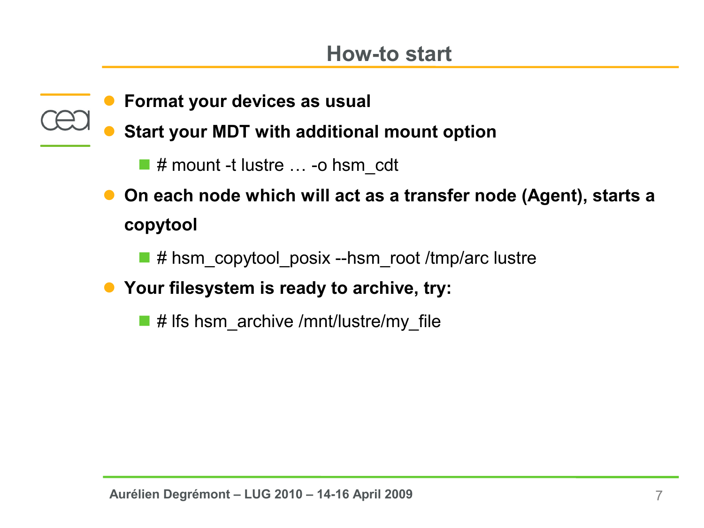**How-to start**

- **Format your devices as usual**
- **Start your MDT with additional mount option**
	- $\blacksquare$  # mount -t lustre  $\ldots$  -o hsm\_cdt
- **On each node which will act as a transfer node (Agent), starts a copytool**
	- # hsm\_copytool\_posix --hsm\_root /tmp/arc lustre
- **Your filesystem is ready to archive, try:**
	- $\blacksquare$  # lfs hsm\_archive /mnt/lustre/my\_file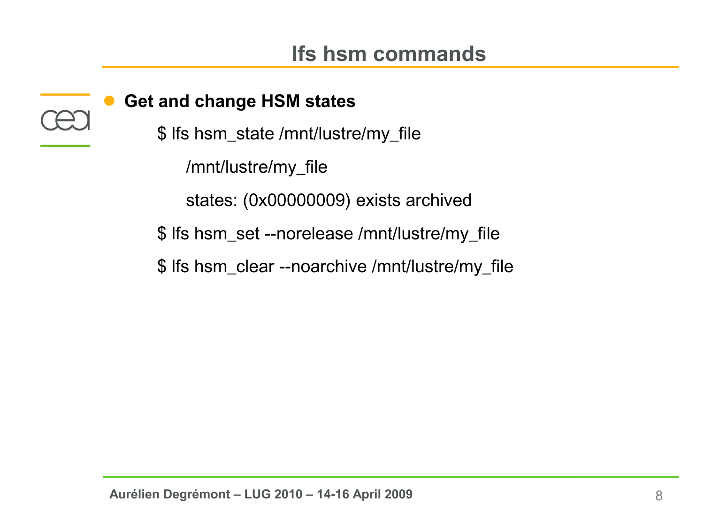### **Get and change HSM states**

\$ lfs hsm\_state /mnt/lustre/my\_file

/mnt/lustre/my\_file

 states: (0x00000009) exists archived

\$ lfs hsm\_set --norelease /mnt/lustre/my\_file

\$ lfs hsm\_clear --noarchive /mnt/lustre/my\_file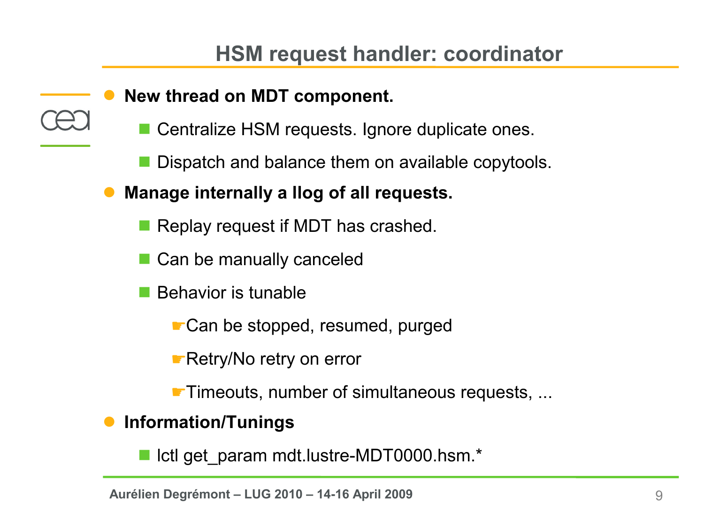- **New thread on MDT component.**
	- Centralize HSM requests. Ignore duplicate ones.
	- Dispatch and balance them on available copytools.
- **Manage internally a llog of all requests.**
	- **Replay request if MDT has crashed.**
	- Can be manually canceled
	- Behavior is tunable
		- ☛Can be stopped, resumed, purged
		- ☛Retry/No retry on error
		- ☛Timeouts, number of simultaneous requests, ...
- **Information/Tunings**

■ Ictl get\_param mdt.lustre-MDT0000.hsm.\*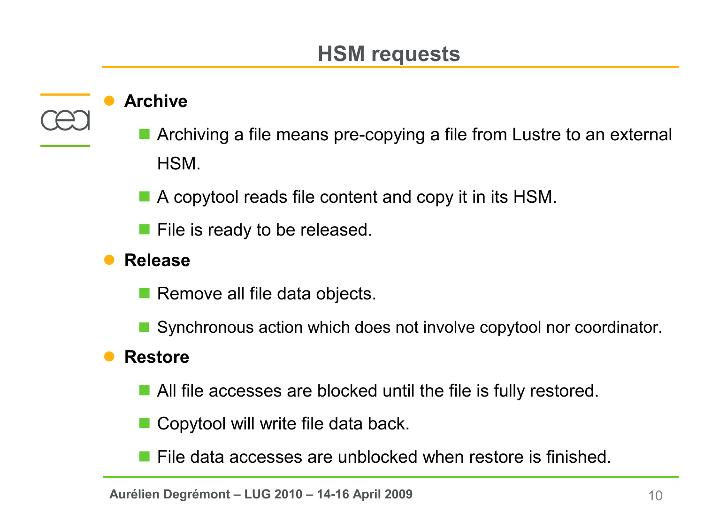### **HSM requests**

#### **Archive**

- Archiving a file means pre-copying a file from Lustre to an external **HSM**
- A copytool reads file content and copy it in its HSM.
- **File is ready to be released.**
- **Release**
	- Remove all file data objects.
	- Synchronous action which does not involve copytool nor coordinator.

#### **Restore**

- **All file accesses are blocked until the file is fully restored.**
- Copytool will write file data back.
- File data accesses are unblocked when restore is finished.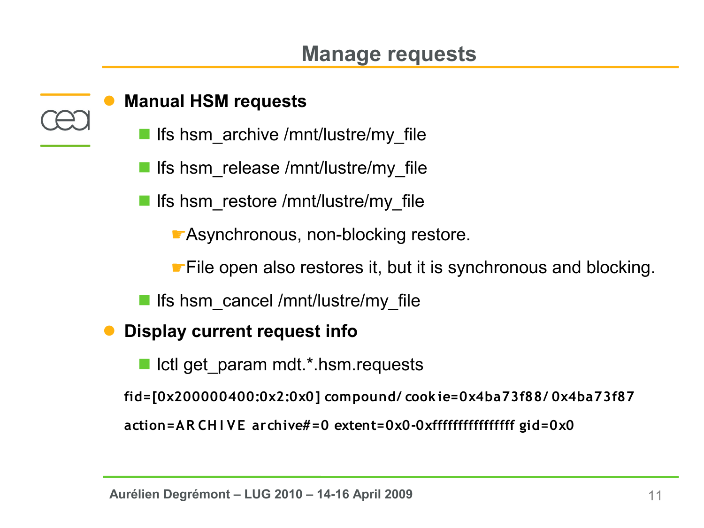#### **Manual HSM requests**

- lfs hsm\_archive /mnt/lustre/my\_file
- lfs hsm\_release /mnt/lustre/my\_file
- **I** Ifs hsm\_restore /mnt/lustre/my\_file
	- ☛Asynchronous, non-blocking restore.
	- ☛File open also restores it, but it is synchronous and blocking.
- **li** Ifs hsm\_cancel /mnt/lustre/my\_file
- **Display current request info**
	- lotl get param mdt.\*.hsm.requests
	- **fid=[0x200000400:0x2:0x0] compound/ cook ie=0x4ba73f88/ 0x4ba73f87**

**action=AR CH I VE archive#=0 extent=0x0-0xffffffffffffffff gid=0x0**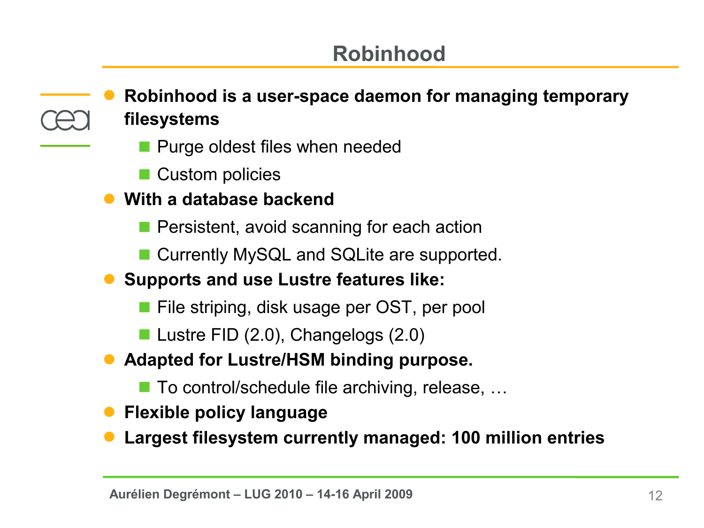# **Robinhood**

 **Robinhood is a user-space daemon for managing temporary filesystems**

- **Purge oldest files when needed**
- Custom policies
- **With a database backend**
	- **Persistent, avoid scanning for each action**
	- Currently MySQL and SQLite are supported.
- **Supports and use Lustre features like:**
	- **File striping, disk usage per OST, per pool**
	- Lustre FID (2.0), Changelogs (2.0)
- **Adapted for Lustre/HSM binding purpose.**
	- $\blacksquare$  To control/schedule file archiving, release, ...
- **Flexible policy language**
- **Largest filesystem currently managed: 100 million entries**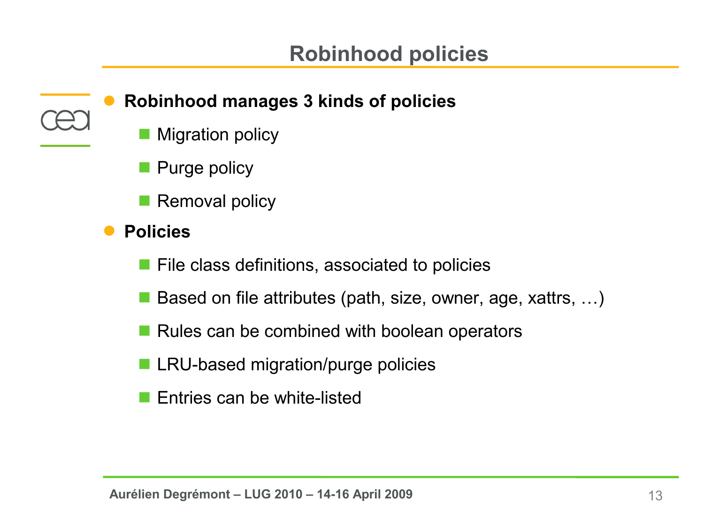

### **Robinhood manages 3 kinds of policies**

- Migration policy
- **Purge policy**
- **Removal policy**
- **Policies** 
	- $\blacksquare$  File class definitions, associated to policies
	- Based on file attributes (path, size, owner, age, xattrs, ...)
	- $\blacksquare$  Rules can be combined with boolean operators
	- LRU-based migration/purge policies
	- Entries can be white-listed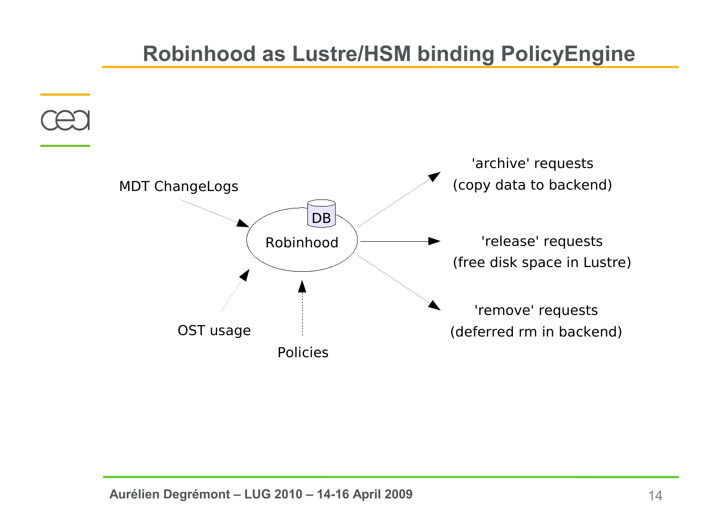### **Robinhood as Lustre/HSM binding PolicyEngine**

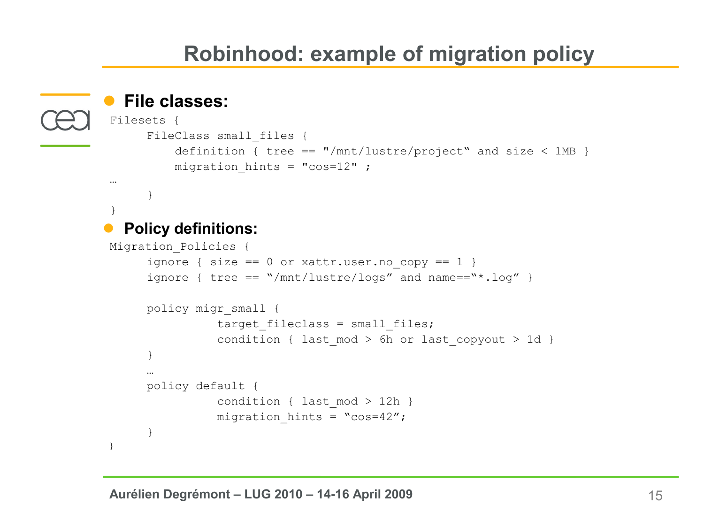# **Robinhood: example of migration policy**

```
 File classes:
 Filesets {
         FileClass small files {
               definition { tree == \frac{m}{\pi} + \frac{m}{\pi} + \frac{m}{\pi} + \frac{m}{\pi} + \frac{m}{\pi} + \frac{m}{\pi} + \frac{m}{\pi} + \frac{m}{\pi} + \frac{m}{\pi} + \frac{m}{\pi} + \frac{m}{\pi} + \frac{m}{\pi} + \frac{m}{\pi} + \frac{m}{\pi} + \frac{m}{\pi} + \frac{mmigration hints = "cos=12" ;
 … 
         }
 }
    Policy definitions:
Migration_Policies {
         ignore { size == 0 or xattr.user.no copy == 1 }
         ignore { tree == \sqrt{mnt/lustre/logs''} and name==\sqrt{*}.log'' }
        policy migr_small {
                        target fileclass = small files;
                        condition { last mod > 6h or last copyout > 1d }
         }
         …
        policy default {
                        condition { last mod > 12h }
                        migration hints = "cos=42";
         }
}
```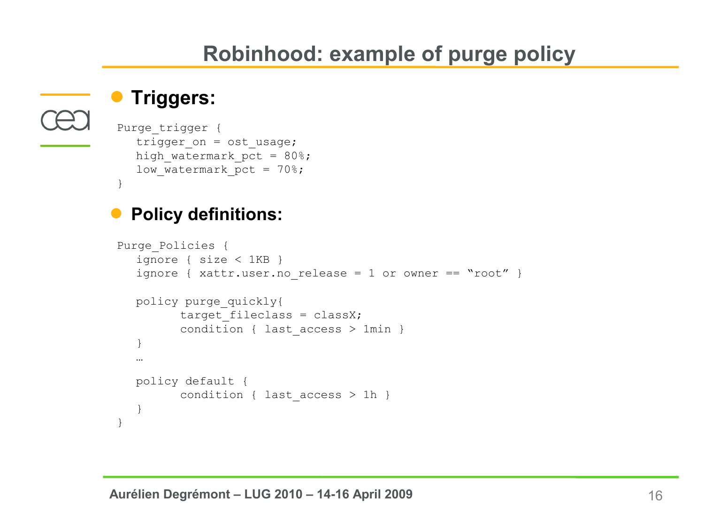# **Robinhood: example of purge policy**

### **Triggers:**

}

```
Purge trigger {
  trigger on = ost usage;
  high watermark pct = 80\;
  low watermark pct = 70\%;
```
### **Policy definitions:**

```
Purge_Policies {
  ignore { size < 1KB }
  ignore { xattr.user.no release = 1 or owner == "root" }
  policy purge_quickly{
         target fileclass = classX;
         condition { last access > 1min }
  }
  …
  policy default {
         condition { last access > 1h }
   }
}
```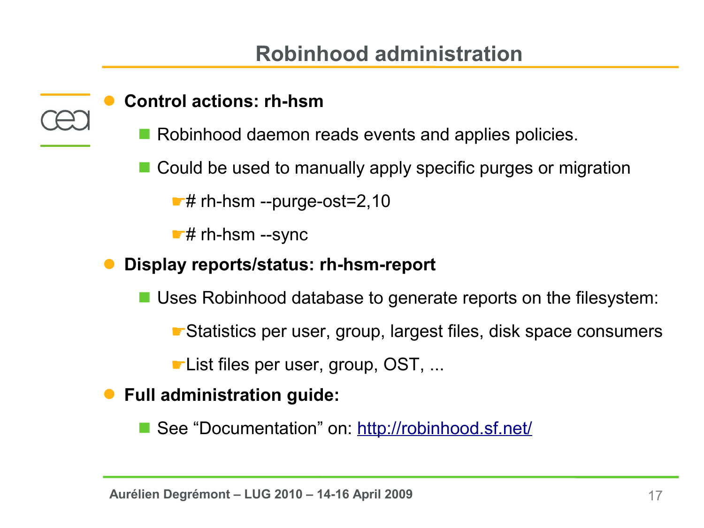### **Robinhood administration**

#### **Control actions: rh-hsm**

- Robinhood daemon reads events and applies policies.
- Could be used to manually apply specific purges or migration

 ☛# rh-hsm --purge-ost=2,10

☛# rh-hsm --sync

**Display reports/status: rh-hsm-report**

■ Uses Robinhood database to generate reports on the filesystem:

☛Statistics per user, group, largest files, disk space consumers

☛List files per user, group, OST, ...

**Full administration guide:**

See "Documentation" on:<http://robinhood.sf.net/>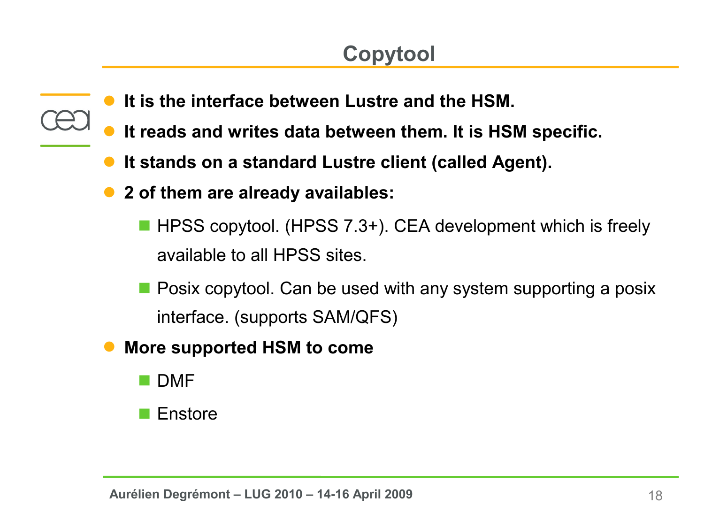# **Copytool**

- **It is the interface between Lustre and the HSM.**
- **It reads and writes data between them. It is HSM specific.**
- **It stands on a standard Lustre client (called Agent).**
- **2 of them are already availables:**
	- HPSS copytool. (HPSS 7.3+). CEA development which is freely available to all HPSS sites.
	- **Posix copytool. Can be used with any system supporting a posix** interface. (supports SAM/QFS)
- **More supported HSM to come**
	- **DMF**
	- Enstore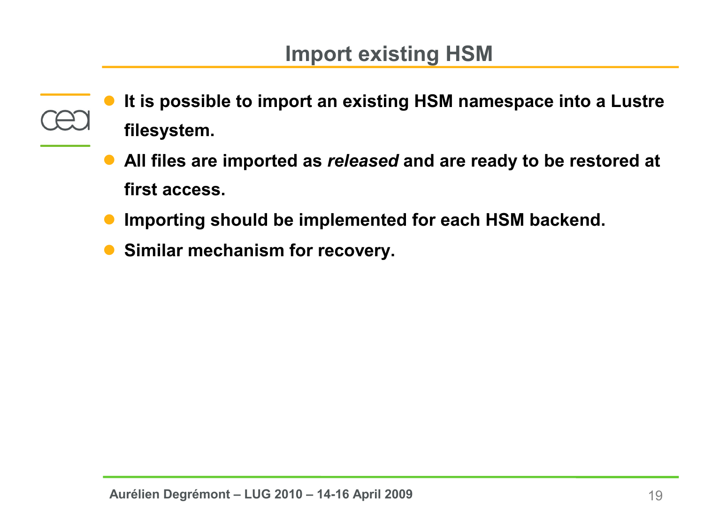- **It is possible to import an existing HSM namespace into a Lustre filesystem.**
	- **All files are imported as** *released* **and are ready to be restored at first access.**
	- **Importing should be implemented for each HSM backend.**
	- **Similar mechanism for recovery.**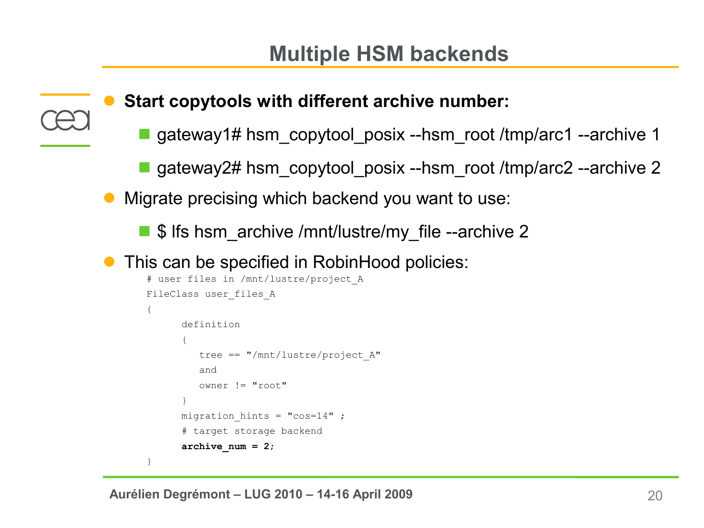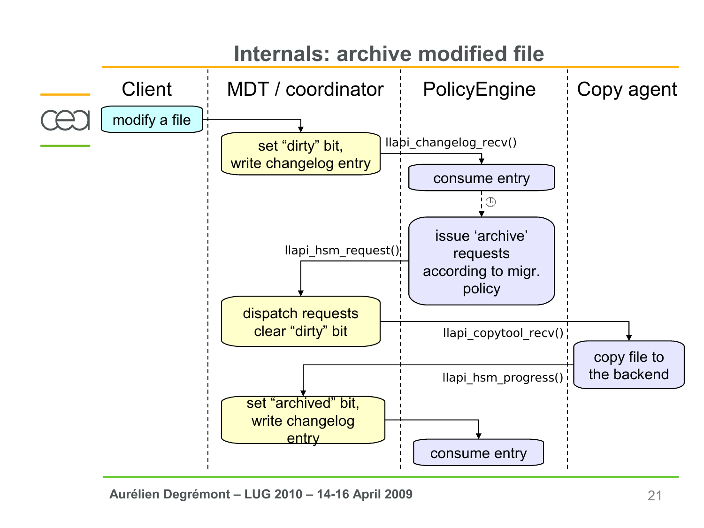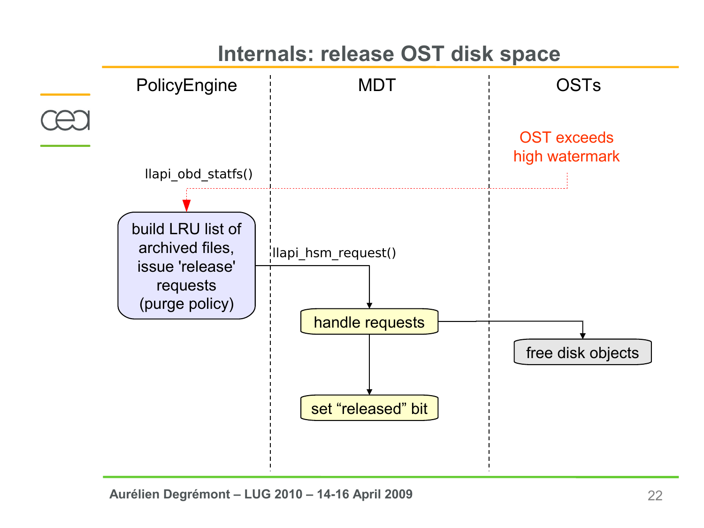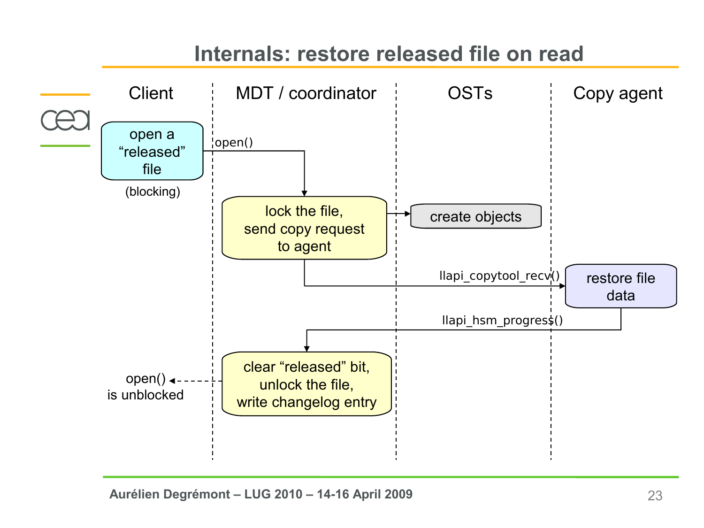# **Internals: restore released file on read**

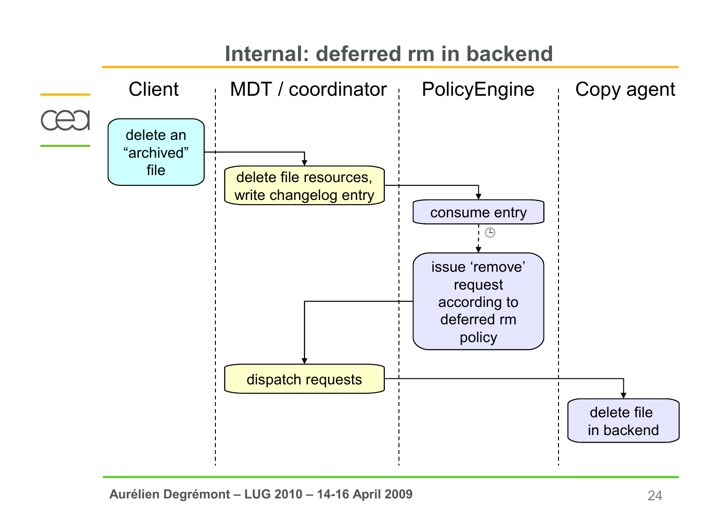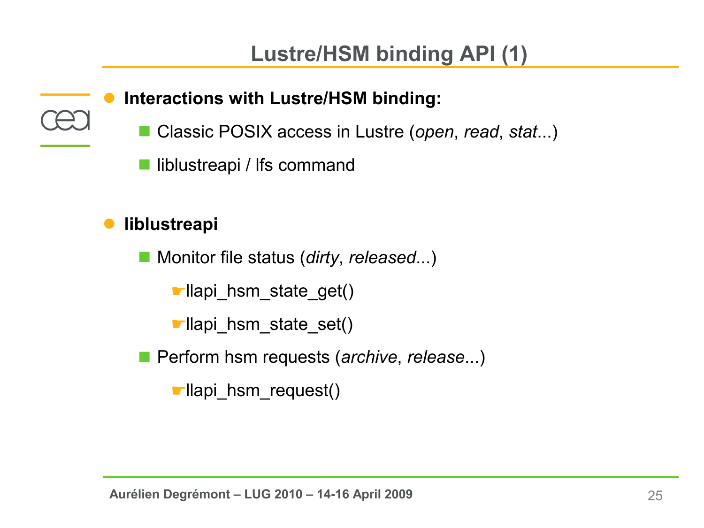### **Interactions with Lustre/HSM binding:**

- Classic POSIX access in Lustre (*open, read, stat...*)
- liblustreapi / Ifs command

### **liblustreapi**

■ Monitor file status (*dirty, released...*)

☛llapi\_hsm\_state\_get()

☛llapi\_hsm\_state\_set()

■ Perform hsm requests (*archive*, *release*...)

☛llapi\_hsm\_request()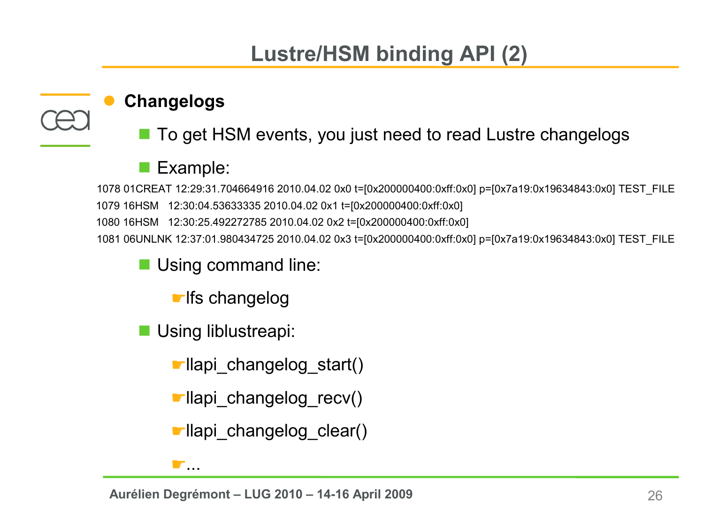# **Lustre/HSM binding API (2)**

#### **Changelogs**

■ To get HSM events, you just need to read Lustre changelogs

### Example:

 1079 16HSM 12:30:04.53633335 2010.04.02 0x1 t=[0x200000400:0xff:0x0] 1078 01CREAT 12:29:31.704664916 2010.04.02 0x0 t=[0x200000400:0xff:0x0] p=[0x7a19:0x19634843:0x0] TEST\_FILE 1080 16HSM 12:30:25.492272785 2010.04.02 0x2 t=[0x200000400:0xff:0x0] 1081 06UNLNK 12:37:01.980434725 2010.04.02 0x3 t=[0x200000400:0xff:0x0] p=[0x7a19:0x19634843:0x0] TEST\_FILE

**Using command line:** 

☛lfs changelog

**Using liblustreapi:** 

 $\bullet$ 

☛llapi\_changelog\_start()

☛llapi\_changelog\_recv()

☛llapi\_changelog\_clear()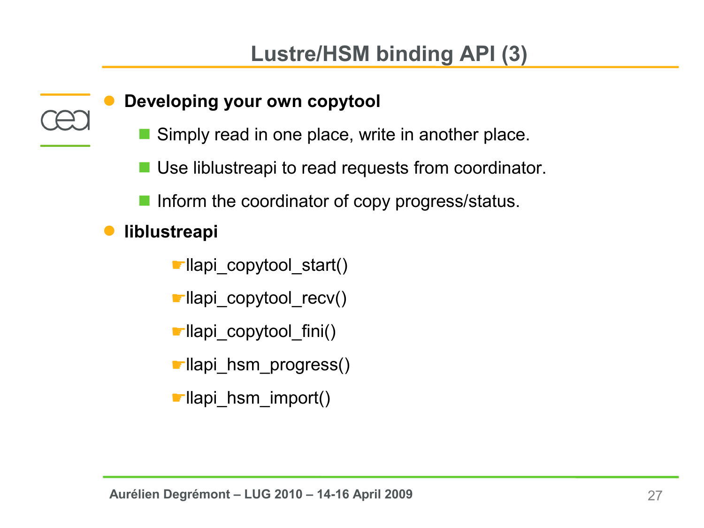#### **Developing your own copytool**

- Simply read in one place, write in another place.
- Use liblustreapi to read requests from coordinator.
- **Inform the coordinator of copy progress/status.**
- **liblustreapi**
	- ☛llapi\_copytool\_start()
	- ☛llapi\_copytool\_recv()
	- ☛llapi\_copytool\_fini()
	- ☛llapi\_hsm\_progress()
	- ☛llapi\_hsm\_import()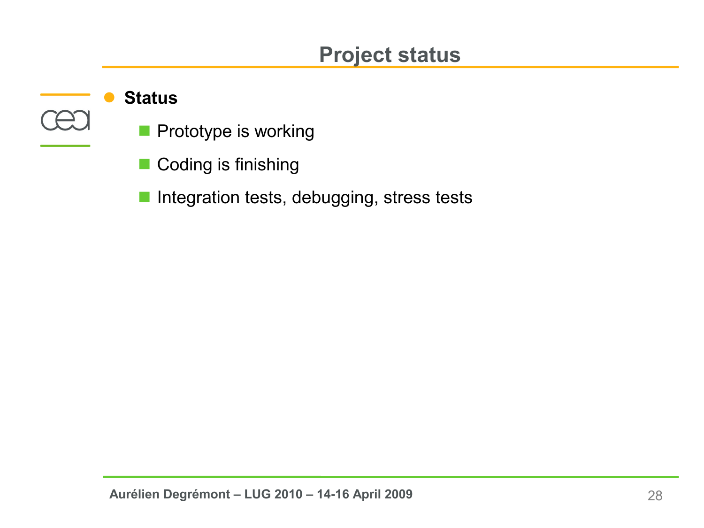### **Project status**

#### **Status**

- **Prototype is working**
- Coding is finishing
- **Integration tests, debugging, stress tests**